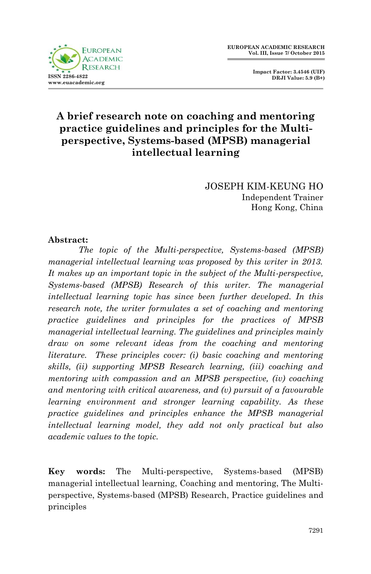

 **Impact Factor: 3.4546 (UIF) DRJI Value: 5.9 (B+)**

# **A brief research note on coaching and mentoring practice guidelines and principles for the Multiperspective, Systems-based (MPSB) managerial intellectual learning**

JOSEPH KIM-KEUNG HO Independent Trainer Hong Kong, China

### **Abstract:**

*The topic of the Multi-perspective, Systems-based (MPSB) managerial intellectual learning was proposed by this writer in 2013. It makes up an important topic in the subject of the Multi-perspective, Systems-based (MPSB) Research of this writer. The managerial intellectual learning topic has since been further developed. In this research note, the writer formulates a set of coaching and mentoring practice guidelines and principles for the practices of MPSB managerial intellectual learning. The guidelines and principles mainly draw on some relevant ideas from the coaching and mentoring literature. These principles cover: (i) basic coaching and mentoring skills, (ii) supporting MPSB Research learning, (iii) coaching and mentoring with compassion and an MPSB perspective, (iv) coaching and mentoring with critical awareness, and (v) pursuit of a favourable learning environment and stronger learning capability. As these practice guidelines and principles enhance the MPSB managerial intellectual learning model, they add not only practical but also academic values to the topic.*

**Key words:** The Multi-perspective, Systems-based (MPSB) managerial intellectual learning, Coaching and mentoring, The Multiperspective, Systems-based (MPSB) Research, Practice guidelines and principles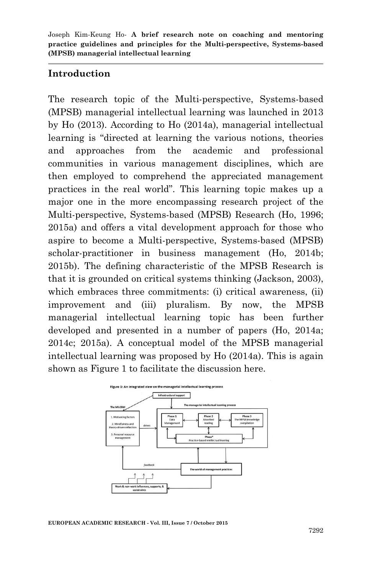### **Introduction**

The research topic of the Multi-perspective, Systems-based (MPSB) managerial intellectual learning was launched in 2013 by Ho (2013). According to Ho (2014a), managerial intellectual learning is "directed at learning the various notions, theories and approaches from the academic and professional communities in various management disciplines, which are then employed to comprehend the appreciated management practices in the real world". This learning topic makes up a major one in the more encompassing research project of the Multi-perspective, Systems-based (MPSB) Research (Ho, 1996; 2015a) and offers a vital development approach for those who aspire to become a Multi-perspective, Systems-based (MPSB) scholar-practitioner in business management (Ho, 2014b; 2015b). The defining characteristic of the MPSB Research is that it is grounded on critical systems thinking (Jackson, 2003), which embraces three commitments: (i) critical awareness, (ii) improvement and (iii) pluralism. By now, the MPSB managerial intellectual learning topic has been further developed and presented in a number of papers (Ho, 2014a; 2014c; 2015a). A conceptual model of the MPSB managerial intellectual learning was proposed by Ho (2014a). This is again shown as Figure 1 to facilitate the discussion here.

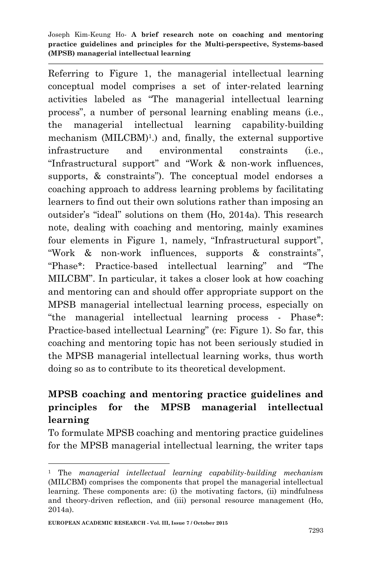Referring to Figure 1, the managerial intellectual learning conceptual model comprises a set of inter-related learning activities labeled as "The managerial intellectual learning process", a number of personal learning enabling means (i.e., the managerial intellectual learning capability-building mechanism (MILCBM)<sup>1</sup>.) and, finally, the external supportive infrastructure and environmental constraints (i.e., "Infrastructural support" and "Work & non-work influences, supports, & constraints"). The conceptual model endorses a coaching approach to address learning problems by facilitating learners to find out their own solutions rather than imposing an outsider's "ideal" solutions on them (Ho, 2014a). This research note, dealing with coaching and mentoring, mainly examines four elements in Figure 1, namely, "Infrastructural support", "Work & non-work influences, supports & constraints", "Phase\*: Practice-based intellectual learning" and "The MILCBM". In particular, it takes a closer look at how coaching and mentoring can and should offer appropriate support on the MPSB managerial intellectual learning process, especially on "the managerial intellectual learning process - Phase\*: Practice-based intellectual Learning" (re: Figure 1). So far, this coaching and mentoring topic has not been seriously studied in the MPSB managerial intellectual learning works, thus worth doing so as to contribute to its theoretical development.

# **MPSB coaching and mentoring practice guidelines and principles for the MPSB managerial intellectual learning**

To formulate MPSB coaching and mentoring practice guidelines for the MPSB managerial intellectual learning, the writer taps

**.** 

<sup>1</sup> The *managerial intellectual learning capability-building mechanism* (MILCBM) comprises the components that propel the managerial intellectual learning. These components are: (i) the motivating factors, (ii) mindfulness and theory-driven reflection, and (iii) personal resource management (Ho, 2014a).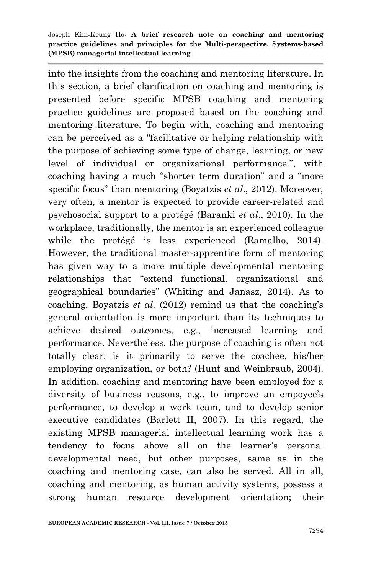into the insights from the coaching and mentoring literature. In this section, a brief clarification on coaching and mentoring is presented before specific MPSB coaching and mentoring practice guidelines are proposed based on the coaching and mentoring literature. To begin with, coaching and mentoring can be perceived as a "facilitative or helping relationship with the purpose of achieving some type of change, learning, or new level of individual or organizational performance.", with coaching having a much "shorter term duration" and a "more specific focus" than mentoring (Boyatzis *et al*., 2012). Moreover, very often, a mentor is expected to provide career-related and psychosocial support to a protégé (Baranki *et al*., 2010). In the workplace, traditionally, the mentor is an experienced colleague while the protégé is less experienced (Ramalho, 2014). However, the traditional master-apprentice form of mentoring has given way to a more multiple developmental mentoring relationships that "extend functional, organizational and geographical boundaries" (Whiting and Janasz, 2014). As to coaching, Boyatzis *et al.* (2012) remind us that the coaching's general orientation is more important than its techniques to achieve desired outcomes, e.g., increased learning and performance. Nevertheless, the purpose of coaching is often not totally clear: is it primarily to serve the coachee, his/her employing organization, or both? (Hunt and Weinbraub, 2004). In addition, coaching and mentoring have been employed for a diversity of business reasons, e.g., to improve an empoyee's performance, to develop a work team, and to develop senior executive candidates (Barlett II, 2007). In this regard, the existing MPSB managerial intellectual learning work has a tendency to focus above all on the learner's personal developmental need, but other purposes, same as in the coaching and mentoring case, can also be served. All in all, coaching and mentoring, as human activity systems, possess a strong human resource development orientation; their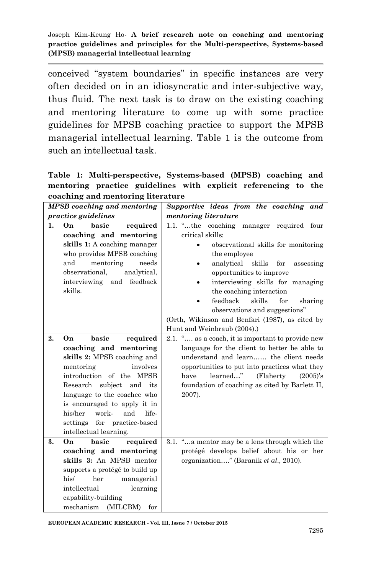conceived "system boundaries" in specific instances are very often decided on in an idiosyncratic and inter-subjective way, thus fluid. The next task is to draw on the existing coaching and mentoring literature to come up with some practice guidelines for MPSB coaching practice to support the MPSB managerial intellectual learning. Table 1 is the outcome from such an intellectual task.

**Table 1: Multi-perspective, Systems-based (MPSB) coaching and mentoring practice guidelines with explicit referencing to the coaching and mentoring literature**

| MPSB coaching and mentoring                                                                                                                                                                                                                                                                                                                  | Supportive ideas from the coaching and                                                                                                                                                                                                                                                                                                                                                                                                    |
|----------------------------------------------------------------------------------------------------------------------------------------------------------------------------------------------------------------------------------------------------------------------------------------------------------------------------------------------|-------------------------------------------------------------------------------------------------------------------------------------------------------------------------------------------------------------------------------------------------------------------------------------------------------------------------------------------------------------------------------------------------------------------------------------------|
| practice guidelines                                                                                                                                                                                                                                                                                                                          | mentoring literature                                                                                                                                                                                                                                                                                                                                                                                                                      |
| basic<br>1.<br>required<br>On<br>coaching and mentoring<br>skills 1: A coaching manager<br>who provides MPSB coaching<br>and<br>mentoring<br>needs<br>observational.<br>analytical.<br>feedback<br>interviewing<br>and<br>skills.                                                                                                            | 1.1. $\dots$ the coaching<br>required four<br>manager<br>critical skills:<br>observational skills for monitoring<br>the employee<br>analytical skills<br>$_{\rm for}$<br>assessing<br>opportunities to improve<br>interviewing skills for managing<br>the coaching interaction<br>feedback<br>skills<br>for<br>sharing<br>observations and suggestions"<br>(Orth, Wikinson and Benfari (1987), as cited by<br>Hunt and Weinbraub (2004).) |
| 2.<br>basic<br>On<br>required<br>coaching and mentoring<br>skills 2: MPSB coaching and<br>mentoring<br>involves<br>introduction of the MPSB<br>Research<br>subject<br>and<br>its<br>language to the coachee who<br>is encouraged to apply it in<br>his/her<br>work-<br>and<br>life-<br>settings for practice-based<br>intellectual learning. | 2.1. " as a coach, it is important to provide new<br>language for the client to better be able to<br>understand and learn the client needs<br>opportunities to put into practices what they<br>learned"<br>(Flaherty)<br>have<br>$(2005)$ 's<br>foundation of coaching as cited by Barlett II,<br>2007).                                                                                                                                  |
| <b>basic</b><br>3.<br>On<br>required<br>coaching and mentoring<br>skills 3: An MPSB mentor<br>supports a protégé to build up<br>his/<br>managerial<br>her<br>intellectual<br>learning<br>capability-building<br>mechanism<br>(MILCBM)<br>for                                                                                                 | 3.1. " a mentor may be a lens through which the<br>protégé develops belief about his or her<br>organization" (Baranik et al., 2010).                                                                                                                                                                                                                                                                                                      |

**EUROPEAN ACADEMIC RESEARCH - Vol. III, Issue 7 / October 2015**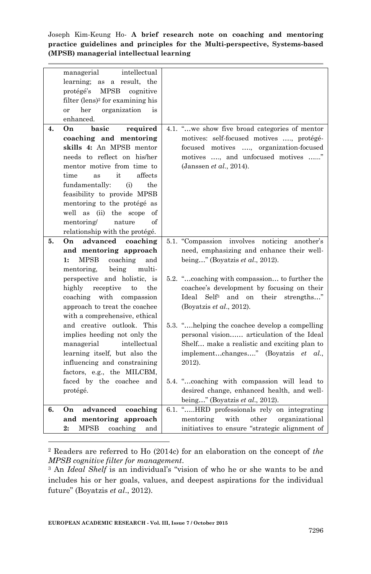|    | managerial<br>intellectual                   |                                                    |
|----|----------------------------------------------|----------------------------------------------------|
|    | learning;<br>as a result, the                |                                                    |
|    | protégé's<br>MPSB<br>cognitive               |                                                    |
|    | filter (lens) <sup>2</sup> for examining his |                                                    |
|    | her<br>organization<br>or<br>is              |                                                    |
|    | enhanced.                                    |                                                    |
| 4. | On.<br>basic<br>required                     | 4.1. "we show five broad categories of mentor      |
|    |                                              |                                                    |
|    | coaching and mentoring                       | motives: self-focused motives , protégé-           |
|    | skills 4: An MPSB mentor                     | focused motives , organization-focused             |
|    | needs to reflect on his/her                  | motives , and unfocused motives "                  |
|    | mentor motive from time to                   | (Janssen et al., 2014).                            |
|    | affects<br>it<br>time<br>as                  |                                                    |
|    | fundamentally:<br>(i)<br>the                 |                                                    |
|    | feasibility to provide MPSB                  |                                                    |
|    | mentoring to the protégé as                  |                                                    |
|    | well as (ii) the scope<br>of                 |                                                    |
|    | mentoring/<br>of<br>nature                   |                                                    |
|    | relationship with the protégé.               |                                                    |
| 5. | advanced coaching<br>On                      | 5.1. "Compassion involves noticing<br>another's    |
|    | and mentoring approach                       | need, emphasizing and enhance their well-          |
|    | <b>MPSB</b><br>coaching<br>and<br>1:         | being" (Boyatzis et al., 2012).                    |
|    | being<br>multi-<br>mentoring.                |                                                    |
|    | perspective and holistic, is                 | 5.2. "coaching with compassion to further the      |
|    | highly<br>receptive<br>the<br>to             | coachee's development by focusing on their         |
|    | coaching with compassion                     | Ideal<br>Self <sup>3</sup> and on their strengths" |
|    | approach to treat the coachee                | (Boyatzis et al., 2012).                           |
|    | with a comprehensive, ethical                |                                                    |
|    | and creative outlook. This                   | 5.3. "helping the coachee develop a compelling     |
|    | implies heeding not only the                 | personal vision articulation of the Ideal          |
|    | managerial<br>intellectual                   | Shelf make a realistic and exciting plan to        |
|    | learning itself, but also the                | implementchanges" (Boyatzis et al.,                |
|    | influencing and constraining                 | 2012).                                             |
|    | factors, e.g., the MILCBM,                   |                                                    |
|    | faced by the coachee and                     | 5.4. "coaching with compassion will lead to        |
|    |                                              |                                                    |
|    | protégé.                                     | desired change, enhanced health, and well-         |
|    |                                              | being" (Boyatzis et al., 2012).                    |
| 6. | advanced<br>coaching<br>On                   | 6.1. "HRD professionals rely on integrating        |
|    | and mentoring approach                       | with<br>organizational<br>mentoring<br>other       |
|    | MPSB<br>coaching<br>2:<br>and                | initiatives to ensure "strategic alignment of      |

<sup>2</sup> Readers are referred to Ho (2014c) for an elaboration on the concept of *the MPSB cognitive filter for management*.

<sup>3</sup> An *Ideal Shelf* is an individual's "vision of who he or she wants to be and includes his or her goals, values, and deepest aspirations for the individual future" (Boyatzis *et al*., 2012).

**.**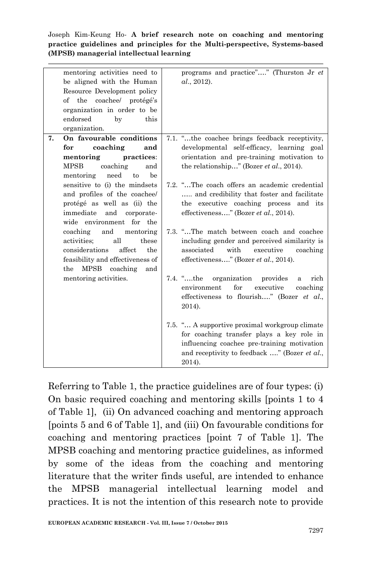|    | mentoring activities need to<br>be aligned with the Human<br>Resource Development policy<br>of the coachee/ protégé's<br>organization in order to be<br>endorsed<br>by<br>this<br>organization. | programs and practice"" (Thurston Jr et<br>al., 2012).                                                                                                                                               |
|----|-------------------------------------------------------------------------------------------------------------------------------------------------------------------------------------------------|------------------------------------------------------------------------------------------------------------------------------------------------------------------------------------------------------|
| 7. | On favourable conditions                                                                                                                                                                        | 7.1. "the coachee brings feedback receptivity,                                                                                                                                                       |
|    | coaching<br>for<br>and                                                                                                                                                                          | developmental self-efficacy, learning goal                                                                                                                                                           |
|    | mentoring<br>practices:                                                                                                                                                                         | orientation and pre-training motivation to                                                                                                                                                           |
|    | coaching<br><b>MPSB</b><br>and                                                                                                                                                                  | the relationship" (Bozer <i>et al.</i> , 2014).                                                                                                                                                      |
|    | need<br>to<br>be<br>mentoring                                                                                                                                                                   |                                                                                                                                                                                                      |
|    | sensitive to (i) the mindsets                                                                                                                                                                   | 7.2. "The coach offers an academic credential                                                                                                                                                        |
|    | and profiles of the coachee/                                                                                                                                                                    | and credibility that foster and facilitate                                                                                                                                                           |
|    | protégé as well as (ii) the                                                                                                                                                                     | the executive coaching process and its                                                                                                                                                               |
|    | immediate<br>and<br>corporate-<br>wide environment for the                                                                                                                                      | effectiveness" (Bozer et al., 2014).                                                                                                                                                                 |
|    | coaching<br>and<br>mentoring<br>all<br>activities:<br>these<br>affect<br>considerations<br>the<br>feasibility and effectiveness of<br><b>MPSB</b><br>coaching<br>the<br>and                     | 7.3. "The match between coach and coachee<br>including gender and perceived similarity is<br>with<br>associated<br>executive<br>coaching<br>effectiveness" (Bozer et al., 2014).                     |
|    | mentoring activities.                                                                                                                                                                           | 7.4. "the organization provides<br>rich<br>a<br>for<br>executive<br>environment<br>coaching<br>effectiveness to flourish" (Bozer et al.,<br>2014).                                                   |
|    |                                                                                                                                                                                                 | 7.5. " A supportive proximal workgroup climate<br>for coaching transfer plays a key role in<br>influencing coachee pre-training motivation<br>and receptivity to feedback " (Bozer et al.,<br>2014). |

Referring to Table 1, the practice guidelines are of four types: (i) On basic required coaching and mentoring skills [points 1 to 4 of Table 1], (ii) On advanced coaching and mentoring approach [points 5 and 6 of Table 1], and (iii) On favourable conditions for coaching and mentoring practices [point 7 of Table 1]. The MPSB coaching and mentoring practice guidelines, as informed by some of the ideas from the coaching and mentoring literature that the writer finds useful, are intended to enhance the MPSB managerial intellectual learning model and practices. It is not the intention of this research note to provide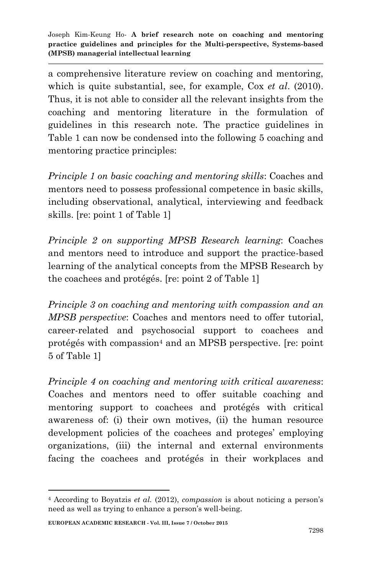a comprehensive literature review on coaching and mentoring, which is quite substantial, see, for example, Cox *et al*. (2010). Thus, it is not able to consider all the relevant insights from the coaching and mentoring literature in the formulation of guidelines in this research note. The practice guidelines in Table 1 can now be condensed into the following 5 coaching and mentoring practice principles:

*Principle 1 on basic coaching and mentoring skills*: Coaches and mentors need to possess professional competence in basic skills, including observational, analytical, interviewing and feedback skills. [re: point 1 of Table 1]

*Principle 2 on supporting MPSB Research learning*: Coaches and mentors need to introduce and support the practice-based learning of the analytical concepts from the MPSB Research by the coachees and protégés. [re: point 2 of Table 1]

*Principle 3 on coaching and mentoring with compassion and an MPSB perspective*: Coaches and mentors need to offer tutorial, career-related and psychosocial support to coachees and protégés with compassion<sup>4</sup> and an MPSB perspective. [re: point 5 of Table 1]

*Principle 4 on coaching and mentoring with critical awareness*: Coaches and mentors need to offer suitable coaching and mentoring support to coachees and protégés with critical awareness of: (i) their own motives, (ii) the human resource development policies of the coachees and proteges' employing organizations, (iii) the internal and external environments facing the coachees and protégés in their workplaces and

1

<sup>4</sup> According to Boyatzis *et al.* (2012), *compassion* is about noticing a person's need as well as trying to enhance a person's well-being.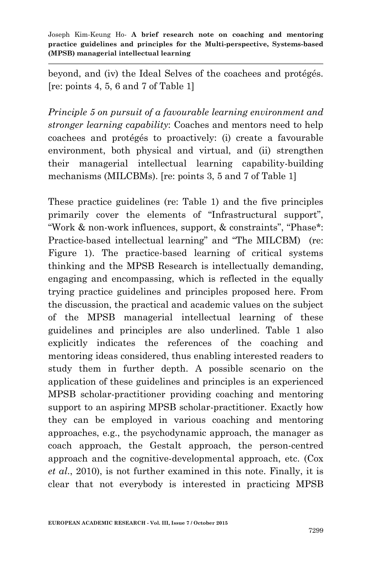beyond, and (iv) the Ideal Selves of the coachees and protégés. [re: points 4, 5, 6 and 7 of Table 1]

*Principle 5 on pursuit of a favourable learning environment and stronger learning capability*: Coaches and mentors need to help coachees and protégés to proactively: (i) create a favourable environment, both physical and virtual, and (ii) strengthen their managerial intellectual learning capability-building mechanisms (MILCBMs). [re: points 3, 5 and 7 of Table 1]

These practice guidelines (re: Table 1) and the five principles primarily cover the elements of "Infrastructural support", "Work & non-work influences, support, & constraints", "Phase\*: Practice-based intellectual learning" and "The MILCBM) (re: Figure 1). The practice-based learning of critical systems thinking and the MPSB Research is intellectually demanding, engaging and encompassing, which is reflected in the equally trying practice guidelines and principles proposed here. From the discussion, the practical and academic values on the subject of the MPSB managerial intellectual learning of these guidelines and principles are also underlined. Table 1 also explicitly indicates the references of the coaching and mentoring ideas considered, thus enabling interested readers to study them in further depth. A possible scenario on the application of these guidelines and principles is an experienced MPSB scholar-practitioner providing coaching and mentoring support to an aspiring MPSB scholar-practitioner. Exactly how they can be employed in various coaching and mentoring approaches, e.g., the psychodynamic approach, the manager as coach approach, the Gestalt approach, the person-centred approach and the cognitive-developmental approach, etc. (Cox *et al*., 2010), is not further examined in this note. Finally, it is clear that not everybody is interested in practicing MPSB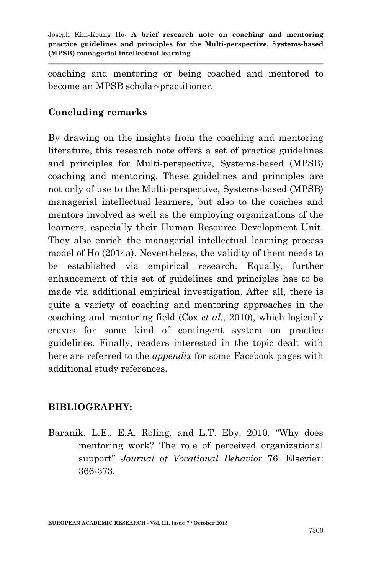coaching and mentoring or being coached and mentored to become an MPSB scholar-practitioner.

## **Concluding remarks**

By drawing on the insights from the coaching and mentoring literature, this research note offers a set of practice guidelines and principles for Multi-perspective, Systems-based (MPSB) coaching and mentoring. These guidelines and principles are not only of use to the Multi-perspective, Systems-based (MPSB) managerial intellectual learners, but also to the coaches and mentors involved as well as the employing organizations of the learners, especially their Human Resource Development Unit. They also enrich the managerial intellectual learning process model of Ho (2014a). Nevertheless, the validity of them needs to be established via empirical research. Equally, further enhancement of this set of guidelines and principles has to be made via additional empirical investigation. After all, there is quite a variety of coaching and mentoring approaches in the coaching and mentoring field (Cox *et al.*, 2010), which logically craves for some kind of contingent system on practice guidelines. Finally, readers interested in the topic dealt with here are referred to the *appendix* for some Facebook pages with additional study references.

## **BIBLIOGRAPHY:**

Baranik, L.E., E.A. Roling, and L.T. Eby. 2010. "Why does mentoring work? The role of perceived organizational support" *Journal of Vocational Behavior* 76. Elsevier: 366-373.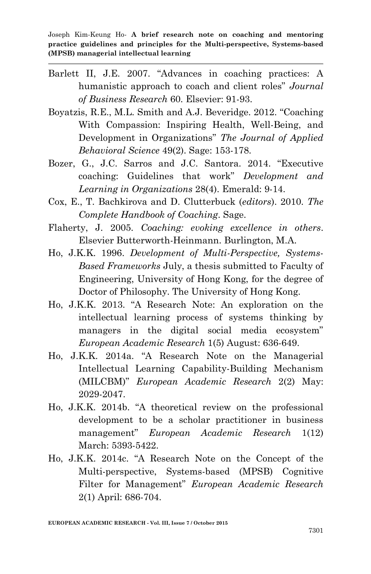- Barlett II, J.E. 2007. "Advances in coaching practices: A humanistic approach to coach and client roles" *Journal of Business Research* 60. Elsevier: 91-93.
- Boyatzis, R.E., M.L. Smith and A.J. Beveridge. 2012. "Coaching With Compassion: Inspiring Health, Well-Being, and Development in Organizations" *The Journal of Applied Behavioral Science* 49(2). Sage: 153-178.
- Bozer, G., J.C. Sarros and J.C. Santora. 2014. "Executive coaching: Guidelines that work" *Development and Learning in Organizations* 28(4). Emerald: 9-14.
- Cox, E., T. Bachkirova and D. Clutterbuck (*editors*). 2010. *The Complete Handbook of Coaching*. Sage.
- Flaherty, J. 2005. *Coaching: evoking excellence in others*. Elsevier Butterworth-Heinmann. Burlington, M.A.
- Ho, J.K.K. 1996. *Development of Multi-Perspective, Systems-Based Frameworks* July, a thesis submitted to Faculty of Engineering, University of Hong Kong, for the degree of Doctor of Philosophy. The University of Hong Kong.
- Ho, J.K.K. 2013. "A Research Note: An exploration on the intellectual learning process of systems thinking by managers in the digital social media ecosystem" *European Academic Research* 1(5) August: 636-649.
- Ho, J.K.K. 2014a. "A Research Note on the Managerial Intellectual Learning Capability-Building Mechanism (MILCBM)" *European Academic Research* 2(2) May: 2029-2047.
- Ho, J.K.K. 2014b. "A theoretical review on the professional development to be a scholar practitioner in business management" *European Academic Research* 1(12) March: 5393-5422.
- Ho, J.K.K. 2014c. "A Research Note on the Concept of the Multi-perspective, Systems-based (MPSB) Cognitive Filter for Management" *European Academic Research* 2(1) April: 686-704.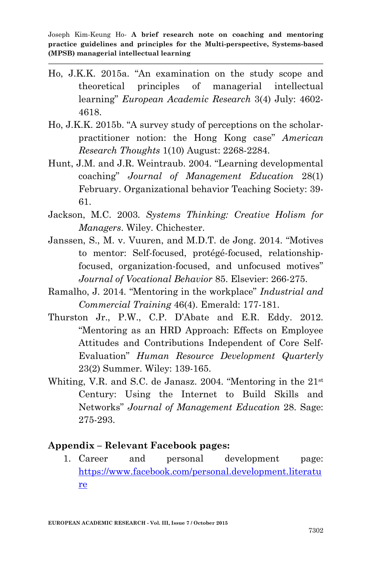- Ho, J.K.K. 2015a. "An examination on the study scope and theoretical principles of managerial intellectual learning" *European Academic Research* 3(4) July: 4602- 4618.
- Ho, J.K.K. 2015b. "A survey study of perceptions on the scholarpractitioner notion: the Hong Kong case" *American Research Thoughts* 1(10) August: 2268-2284.
- Hunt, J.M. and J.R. Weintraub. 2004. "Learning developmental coaching" *Journal of Management Education* 28(1) February. Organizational behavior Teaching Society: 39- 61.
- Jackson, M.C. 2003. *Systems Thinking: Creative Holism for Managers*. Wiley. Chichester.
- Janssen, S., M. v. Vuuren, and M.D.T. de Jong. 2014. "Motives to mentor: Self-focused, protégé-focused, relationshipfocused, organization-focused, and unfocused motives" *Journal of Vocational Behavior* 85. Elsevier: 266-275.
- Ramalho, J. 2014. "Mentoring in the workplace" *Industrial and Commercial Training* 46(4). Emerald: 177-181.
- Thurston Jr., P.W., C.P. D'Abate and E.R. Eddy. 2012. "Mentoring as an HRD Approach: Effects on Employee Attitudes and Contributions Independent of Core Self-Evaluation" *Human Resource Development Quarterly* 23(2) Summer. Wiley: 139-165.
- Whiting, V.R. and S.C. de Janasz. 2004. "Mentoring in the 21<sup>st</sup> Century: Using the Internet to Build Skills and Networks" *Journal of Management Education* 28. Sage: 275-293.

### **Appendix – Relevant Facebook pages:**

1. Career and personal development page: [https://www.facebook.com/personal.development.literatu](https://www.facebook.com/personal.development.literature) [re](https://www.facebook.com/personal.development.literature)